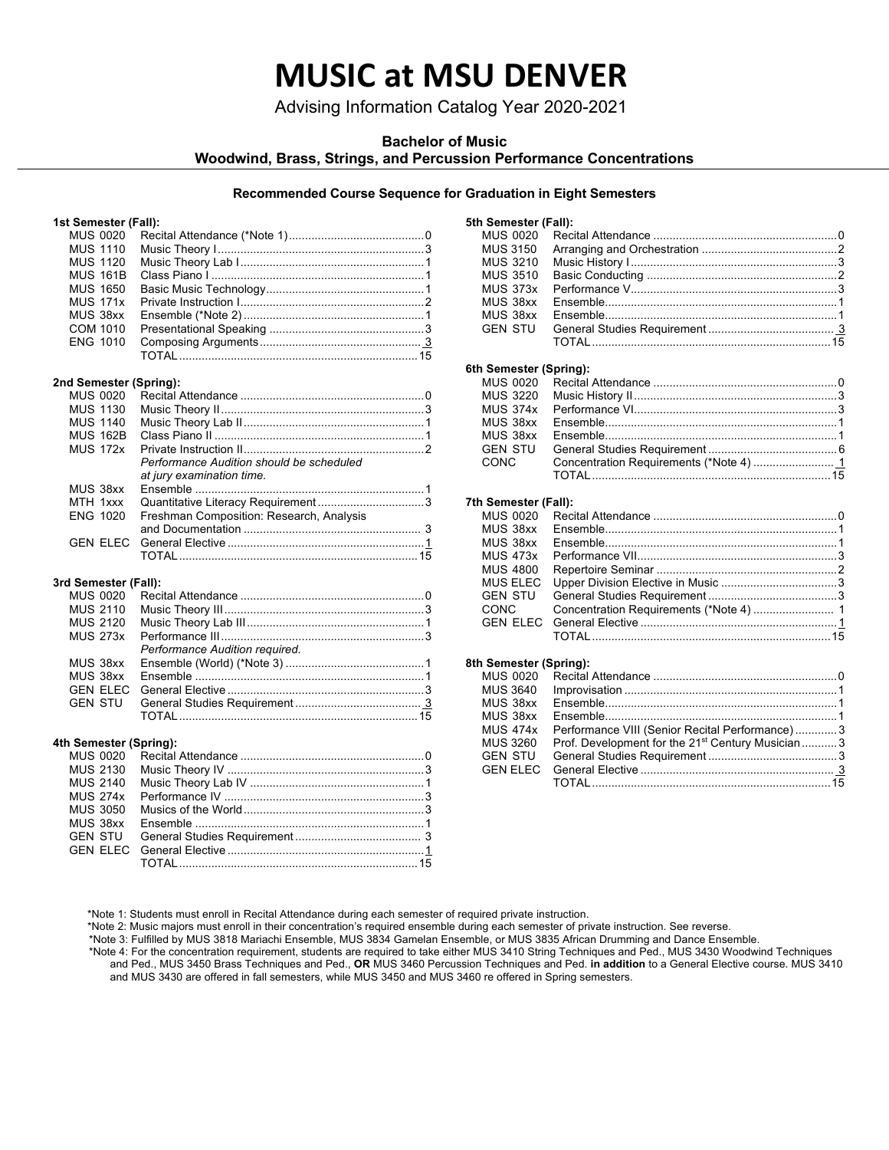# **MUSIC at MSU DENVER**

Advising Information Catalog Year 2020-2021

## **Bachelor of Music**

**Woodwind, Brass, Strings, and Percussion Performance Concentrations**

## **Recommended Course Sequence for Graduation in Eight Semesters**

## **1st Semester (Fall):**

| MUS 0020        |                 |                                          |  |
|-----------------|-----------------|------------------------------------------|--|
| <b>MUS 1110</b> |                 |                                          |  |
| <b>MUS 1120</b> |                 |                                          |  |
| <b>MUS 161B</b> |                 |                                          |  |
| <b>MUS 1650</b> |                 |                                          |  |
| <b>MUS 171x</b> |                 |                                          |  |
| MUS 38xx        |                 |                                          |  |
| <b>COM 1010</b> |                 |                                          |  |
| <b>ENG 1010</b> |                 |                                          |  |
|                 |                 |                                          |  |
|                 |                 |                                          |  |
|                 |                 | 2nd Semester (Spring):                   |  |
|                 | MUS 0020        |                                          |  |
|                 | <b>MUS 1130</b> |                                          |  |
|                 | <b>MUS 1140</b> |                                          |  |
|                 | <b>MUS 162B</b> |                                          |  |
| <b>MUS 172x</b> |                 |                                          |  |
|                 |                 | Performance Audition should be scheduled |  |
|                 |                 | at jury examination time.                |  |
| MUS 38xx        |                 |                                          |  |
|                 | MTH 1xxx        |                                          |  |
| ENG 1020        |                 | Freshman Composition: Research, Analysis |  |
|                 |                 |                                          |  |
|                 | <b>GEN ELEC</b> |                                          |  |
|                 |                 |                                          |  |

## **3rd Semester (Fall):**

| MUS 2120 |                                |  |
|----------|--------------------------------|--|
|          |                                |  |
|          | Performance Audition required. |  |
|          |                                |  |
|          |                                |  |
|          |                                |  |
|          |                                |  |
|          |                                |  |

#### **4th Semester (Spring):**

| 5th Semester (Fall): |          |  |
|----------------------|----------|--|
| MUS 0020             |          |  |
| MUS 3150             |          |  |
| MUS 3210             |          |  |
| <b>MUS 3510</b>      |          |  |
| <b>MUS 373x</b>      |          |  |
| MUS 38xx             |          |  |
| MUS 38xx             |          |  |
| <b>GEN STU</b>       |          |  |
|                      | TOTAI 15 |  |
|                      |          |  |

## **6th Semester (Spring):**

| <b>GEN STU</b> |  |
|----------------|--|
|                |  |
|                |  |
|                |  |

### **7th Semester (Fall):**

| MUS 38xx        |  |
|-----------------|--|
| MUS 38xx        |  |
| <b>MUS 473x</b> |  |
| <b>MUS 4800</b> |  |
| <b>MUS ELEC</b> |  |
|                 |  |
| <b>CONC</b>     |  |
|                 |  |
|                 |  |
|                 |  |

#### **8th Semester (Spring):**

| <b>MUS 3640</b>                                                          |  |
|--------------------------------------------------------------------------|--|
|                                                                          |  |
| MUS 38xx                                                                 |  |
| MUS 38xx                                                                 |  |
| Performance VIII (Senior Recital Performance)3<br><b>MUS 474x</b>        |  |
| Prof. Development for the 21 <sup>st</sup> Century Musician3<br>MUS 3260 |  |
| <b>GEN STU</b>                                                           |  |
|                                                                          |  |
|                                                                          |  |

\*Note 1: Students must enroll in Recital Attendance during each semester of required private instruction.

\*Note 2: Music majors must enroll in their concentration's required ensemble during each semester of private instruction. See reverse.

\*Note 3: Fulfilled by MUS 3818 Mariachi Ensemble, MUS 3834 Gamelan Ensemble, or MUS 3835 African Drumming and Dance Ensemble.

 \*Note 4: For the concentration requirement, students are required to take either MUS 3410 String Techniques and Ped., MUS 3430 Woodwind Techniques and Ped., MUS 3450 Brass Techniques and Ped., **OR** MUS 3460 Percussion Techniques and Ped. **in addition** to a General Elective course. MUS 3410 and MUS 3430 are offered in fall semesters, while MUS 3450 and MUS 3460 re offered in Spring semesters.